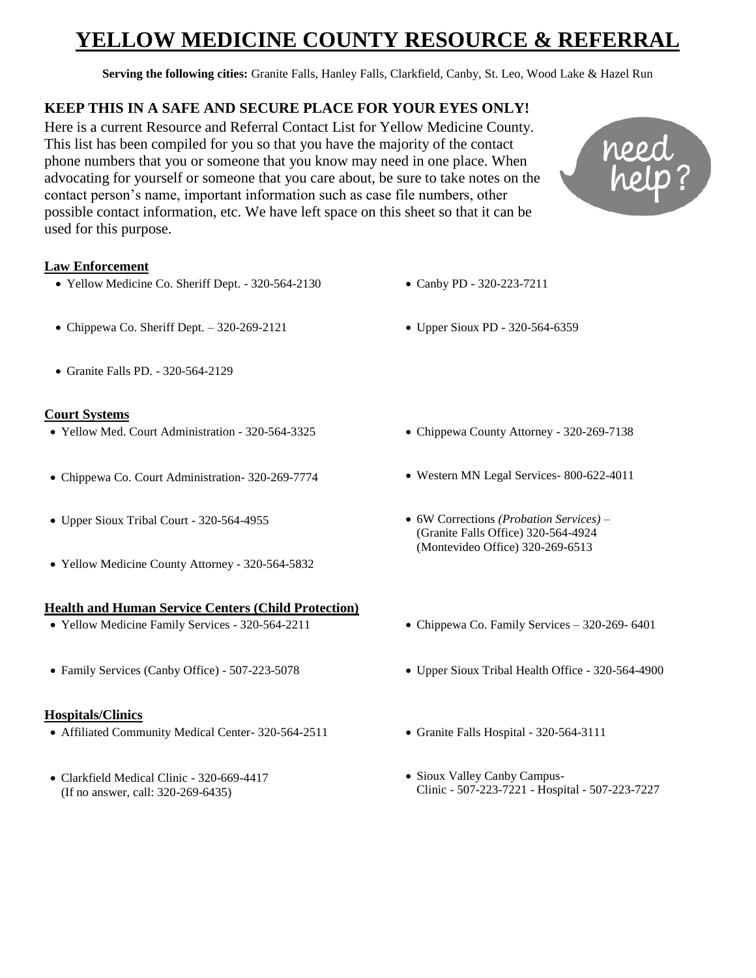# **ZOW MEDICINE COUNTY RESOURCE & REFERRAL**

**Serving the following cities:** Granite Falls, Hanley Falls, Clarkfield, Canby, St. Leo, Wood Lake & Hazel Run

# **KEEP THIS IN A SAFE AND SECURE PLACE FOR YOUR EYES ONLY!**

Here is a current Resource and Referral Contact List for Yellow Medicine County. This list has been compiled for you so that you have the majority of the contact phone numbers that you or someone that you know may need in one place. When advocating for yourself or someone that you care about, be sure to take notes on the contact person's name, important information such as case file numbers, other possible contact information, etc. We have left space on this sheet so that it can be used for this purpose.

# **Law Enforcement**

- Yellow Medicine Co. Sheriff Dept. 320-564-2130
- Chippewa Co. Sheriff Dept.  $-320-269-2121$
- Granite Falls PD. 320-564-2129

# **Court Systems**

- Yellow Med. Court Administration 320-564-3325
- Chippewa Co. Court Administration- 320-269-7774
- Upper Sioux Tribal Court 320-564-4955
- Yellow Medicine County Attorney 320-564-5832

## **Health and Human Service Centers (Child Protection)**

- Yellow Medicine Family Services 320-564-2211
- Family Services (Canby Office) 507-223-5078

## **Hospitals/Clinics**

- Affiliated Community Medical Center- 320-564-2511
- Clarkfield Medical Clinic 320-669-4417 (If no answer, call: 320-269-6435)

• Chippewa County Attorney - 320-269-7138

Canby PD - 320-223-7211

Upper Sioux PD - 320-564-6359

- Western MN Legal Services- 800-622-4011
- 6W Corrections *(Probation Services) –* (Granite Falls Office) 320-564-4924 (Montevideo Office) 320-269-6513
- Chippewa Co. Family Services 320-269- 6401
- Upper Sioux Tribal Health Office 320-564-4900
- Granite Falls Hospital 320-564-3111
- Sioux Valley Canby Campus-Clinic - 507-223-7221 - Hospital - 507-223-7227